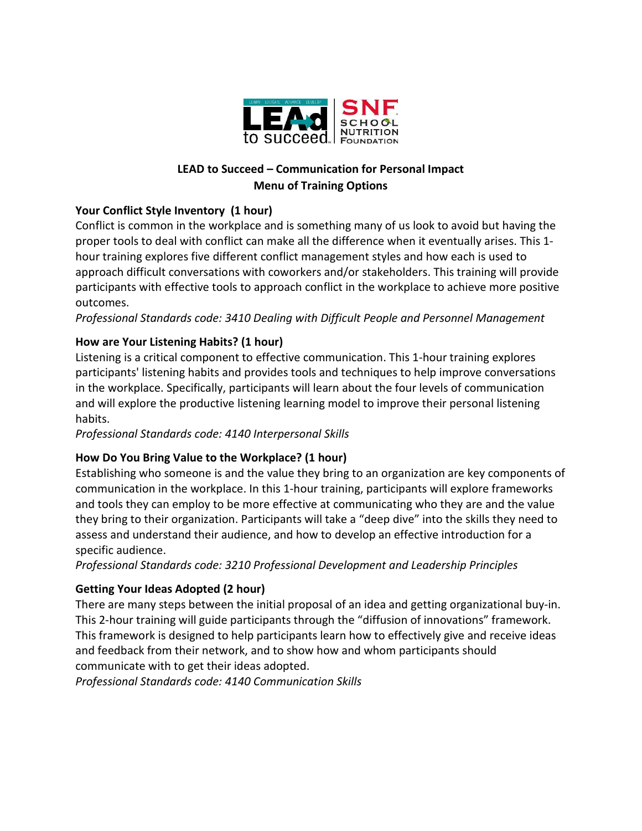

## **LEAD to Succeed – Communication for Personal Impact Menu of Training Options**

# **Your Conflict Style Inventory (1 hour)**

Conflict is common in the workplace and is something many of us look to avoid but having the proper tools to deal with conflict can make all the difference when it eventually arises. This 1 hour training explores five different conflict management styles and how each is used to approach difficult conversations with coworkers and/or stakeholders. This training will provide participants with effective tools to approach conflict in the workplace to achieve more positive outcomes.

*Professional Standards code: 3410 Dealing with Difficult People and Personnel Management*

# **How are Your Listening Habits? (1 hour)**

Listening is a critical component to effective communication. This 1-hour training explores participants' listening habits and provides tools and techniques to help improve conversations in the workplace. Specifically, participants will learn about the four levels of communication and will explore the productive listening learning model to improve their personal listening habits.

*Professional Standards code: 4140 Interpersonal Skills*

## **How Do You Bring Value to the Workplace? (1 hour)**

Establishing who someone is and the value they bring to an organization are key components of communication in the workplace. In this 1-hour training, participants will explore frameworks and tools they can employ to be more effective at communicating who they are and the value they bring to their organization. Participants will take a "deep dive" into the skills they need to assess and understand their audience, and how to develop an effective introduction for a specific audience.

*Professional Standards code: 3210 Professional Development and Leadership Principles*

# **Getting Your Ideas Adopted (2 hour)**

There are many steps between the initial proposal of an idea and getting organizational buy-in. This 2-hour training will guide participants through the "diffusion of innovations" framework. This framework is designed to help participants learn how to effectively give and receive ideas and feedback from their network, and to show how and whom participants should communicate with to get their ideas adopted.

*Professional Standards code: 4140 Communication Skills*